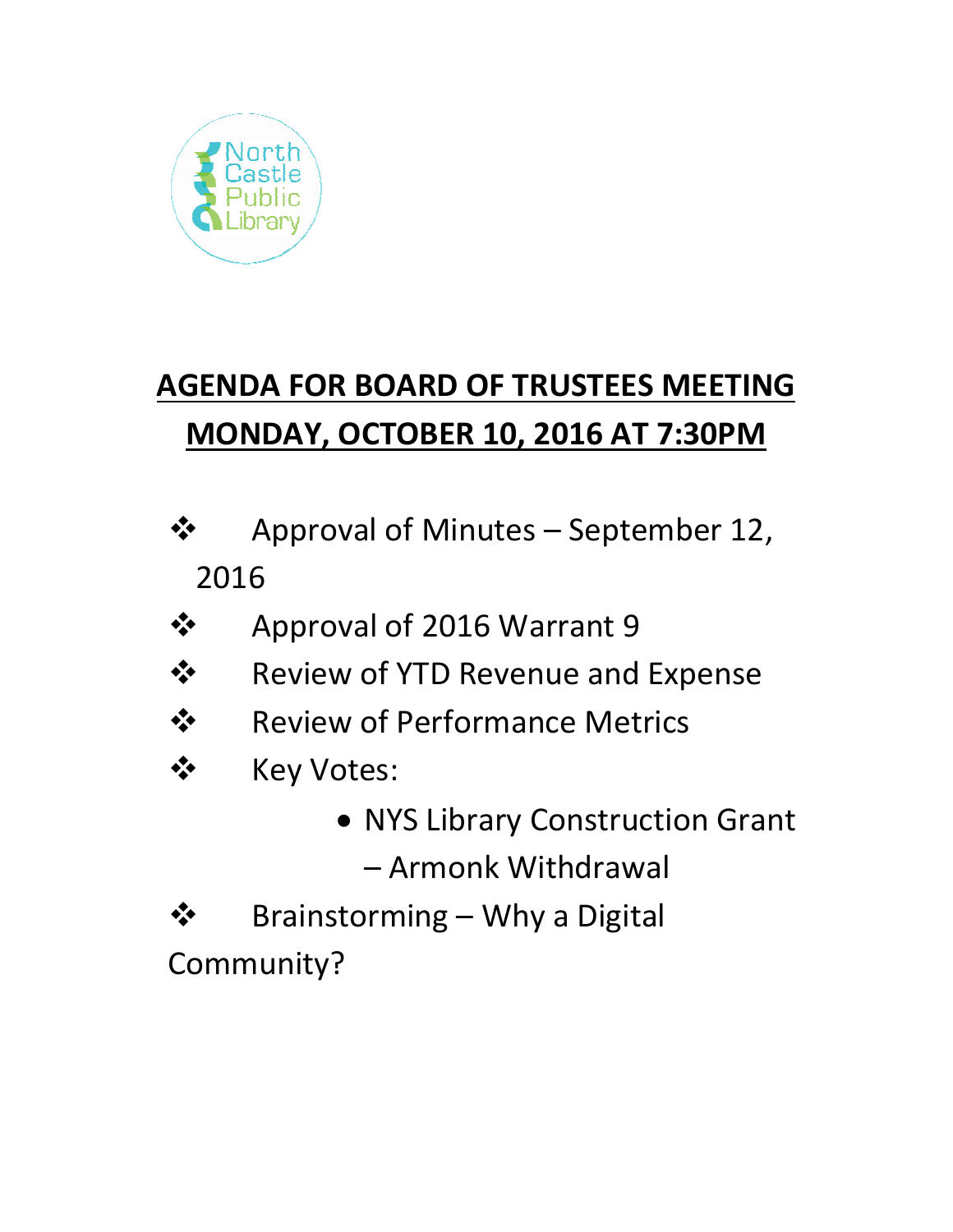

# **AGENDA FOR BOARD OF TRUSTEES MEETING MONDAY, OCTOBER 10, 2016 AT 7:30PM**

- **❖** Approval of Minutes September 12, 2016
- ❖ Approval of 2016 Warrant 9
- $\dots$  **Review of YTD Revenue and Expense**
- **❖** Review of Performance Metrics
- ❖ Key Votes:
	- NYS Library Construction Grant

– Armonk Withdrawal

- $\mathbf{\hat{\cdot}}$  Brainstorming Why a Digital
- Community?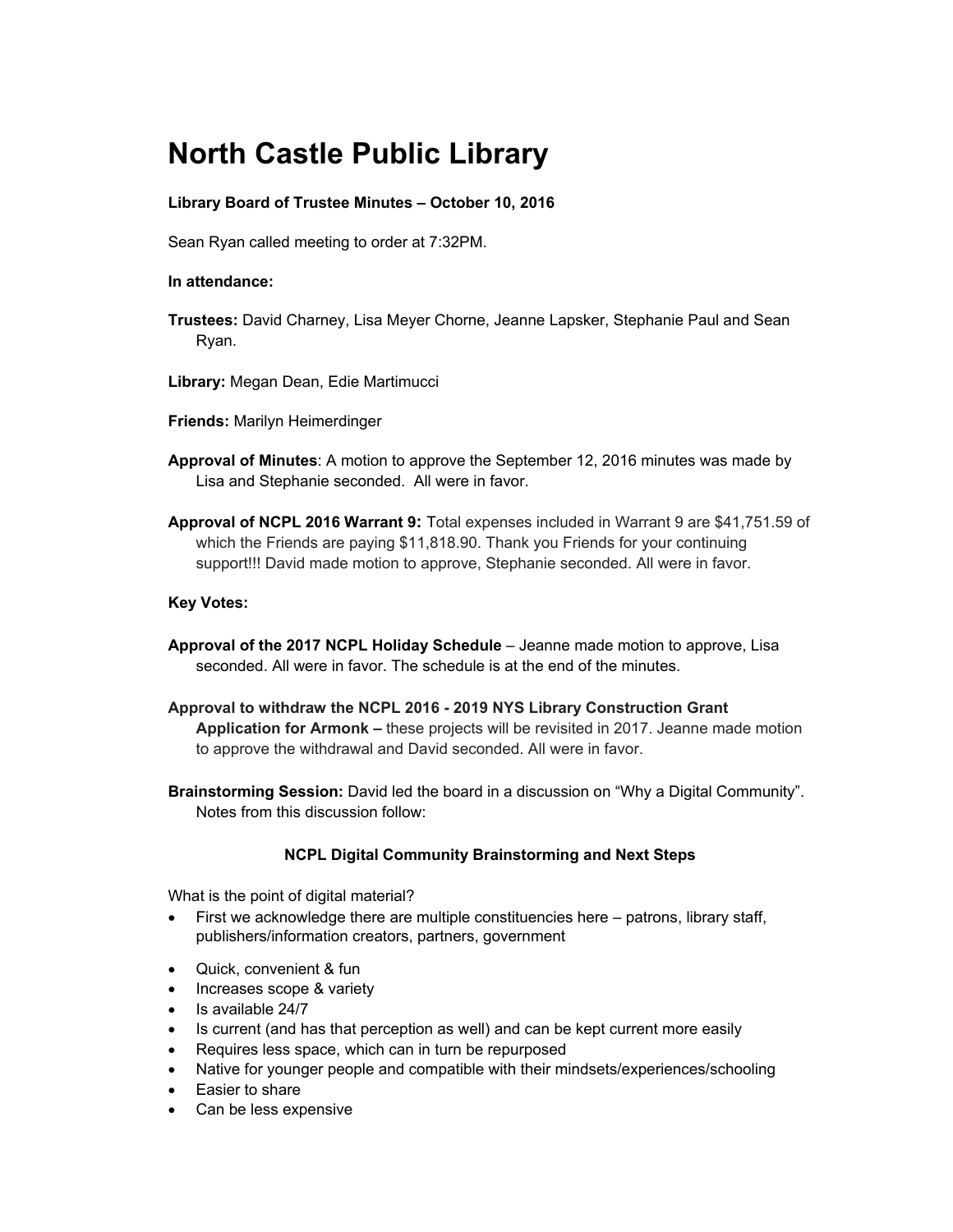## **North Castle Public Library**

### **Library Board of Trustee Minutes – October 10, 2016**

Sean Ryan called meeting to order at 7:32PM.

#### **In attendance:**

- **Trustees:** David Charney, Lisa Meyer Chorne, Jeanne Lapsker, Stephanie Paul and Sean Ryan.
- **Library:** Megan Dean, Edie Martimucci
- **Friends:** Marilyn Heimerdinger
- **Approval of Minutes**: A motion to approve the September 12, 2016 minutes was made by Lisa and Stephanie seconded.All were in favor.
- **Approval of NCPL 2016 Warrant 9:** Total expenses included in Warrant 9 are \$41,751.59 of which the Friends are paying \$11,818.90. Thank you Friends for your continuing support!!! David made motion to approve, Stephanie seconded. All were in favor.

#### **Key Votes:**

- **Approval of the 2017 NCPL Holiday Schedule** Jeanne made motion to approve, Lisa seconded. All were in favor. The schedule is at the end of the minutes.
- **Approval to withdraw the NCPL 2016 2019 NYS Library Construction Grant Application for Armonk –** these projects will be revisited in 2017. Jeanne made motion to approve the withdrawal and David seconded. All were in favor.
- **Brainstorming Session:** David led the board in a discussion on "Why a Digital Community". Notes from this discussion follow:

### **NCPL Digital Community Brainstorming and Next Steps**

What is the point of digital material?

- First we acknowledge there are multiple constituencies here patrons, library staff, publishers/information creators, partners, government
- Quick, convenient & fun
- Increases scope & variety
- Is available 24/7
- Is current (and has that perception as well) and can be kept current more easily
- Requires less space, which can in turn be repurposed
- Native for younger people and compatible with their mindsets/experiences/schooling
- Easier to share
- Can be less expensive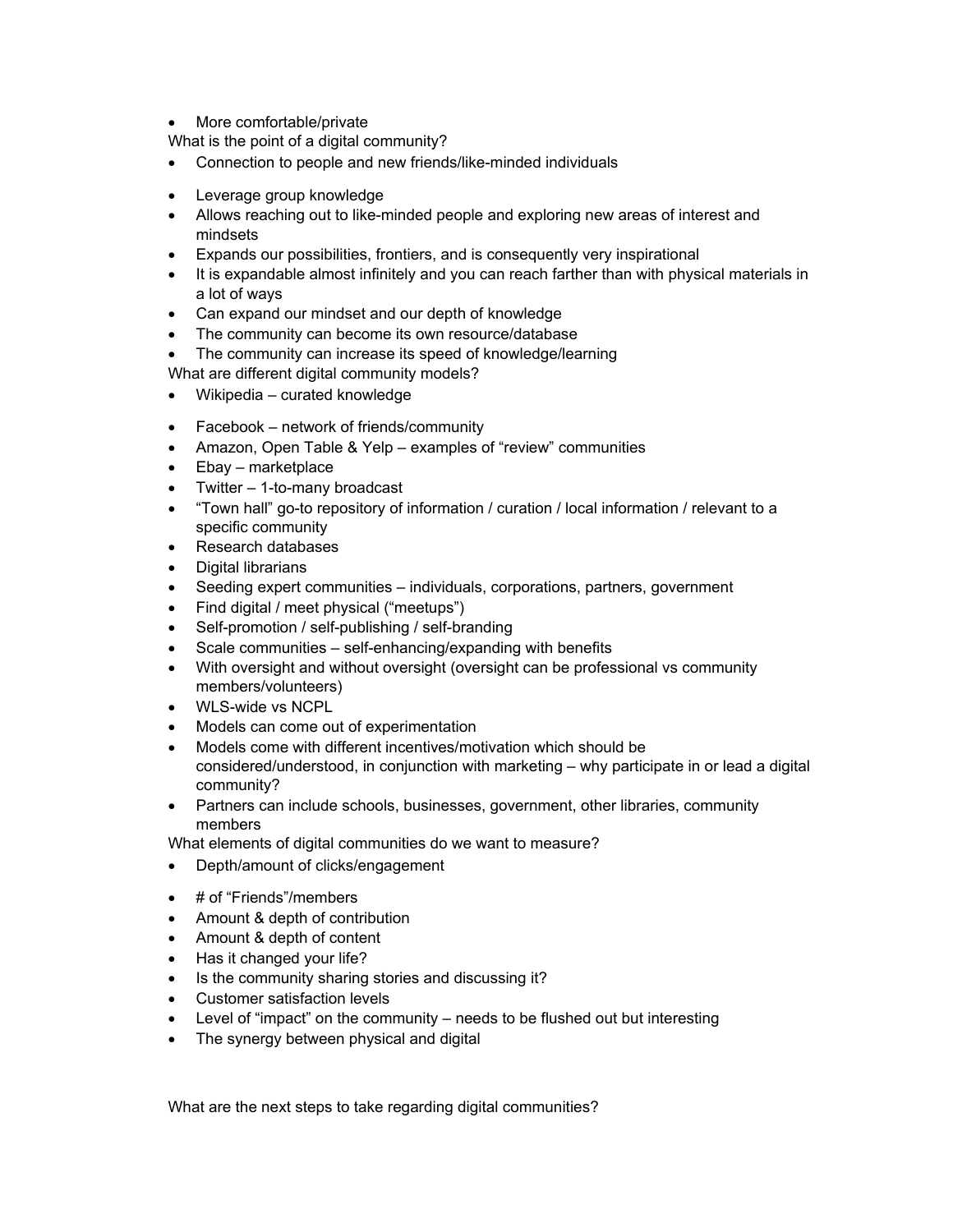• More comfortable/private

What is the point of a digital community?

- Connection to people and new friends/like-minded individuals
- Leverage group knowledge
- Allows reaching out to like-minded people and exploring new areas of interest and mindsets
- Expands our possibilities, frontiers, and is consequently very inspirational
- It is expandable almost infinitely and you can reach farther than with physical materials in a lot of ways
- Can expand our mindset and our depth of knowledge
- The community can become its own resource/database
- The community can increase its speed of knowledge/learning

What are different digital community models?

- Wikipedia curated knowledge
- Facebook network of friends/community
- Amazon, Open Table & Yelp examples of "review" communities
- Ebay marketplace
- Twitter 1-to-many broadcast
- "Town hall" go-to repository of information / curation / local information / relevant to a specific community
- Research databases
- Digital librarians
- Seeding expert communities individuals, corporations, partners, government
- Find digital / meet physical ("meetups")
- Self-promotion / self-publishing / self-branding
- Scale communities self-enhancing/expanding with benefits
- With oversight and without oversight (oversight can be professional vs community members/volunteers)
- WLS-wide vs NCPL
- Models can come out of experimentation
- Models come with different incentives/motivation which should be considered/understood, in conjunction with marketing – why participate in or lead a digital community?
- Partners can include schools, businesses, government, other libraries, community members

What elements of digital communities do we want to measure?

- Depth/amount of clicks/engagement
- # of "Friends"/members
- Amount & depth of contribution
- Amount & depth of content
- Has it changed your life?
- Is the community sharing stories and discussing it?
- Customer satisfaction levels
- Level of "impact" on the community needs to be flushed out but interesting
- The synergy between physical and digital

What are the next steps to take regarding digital communities?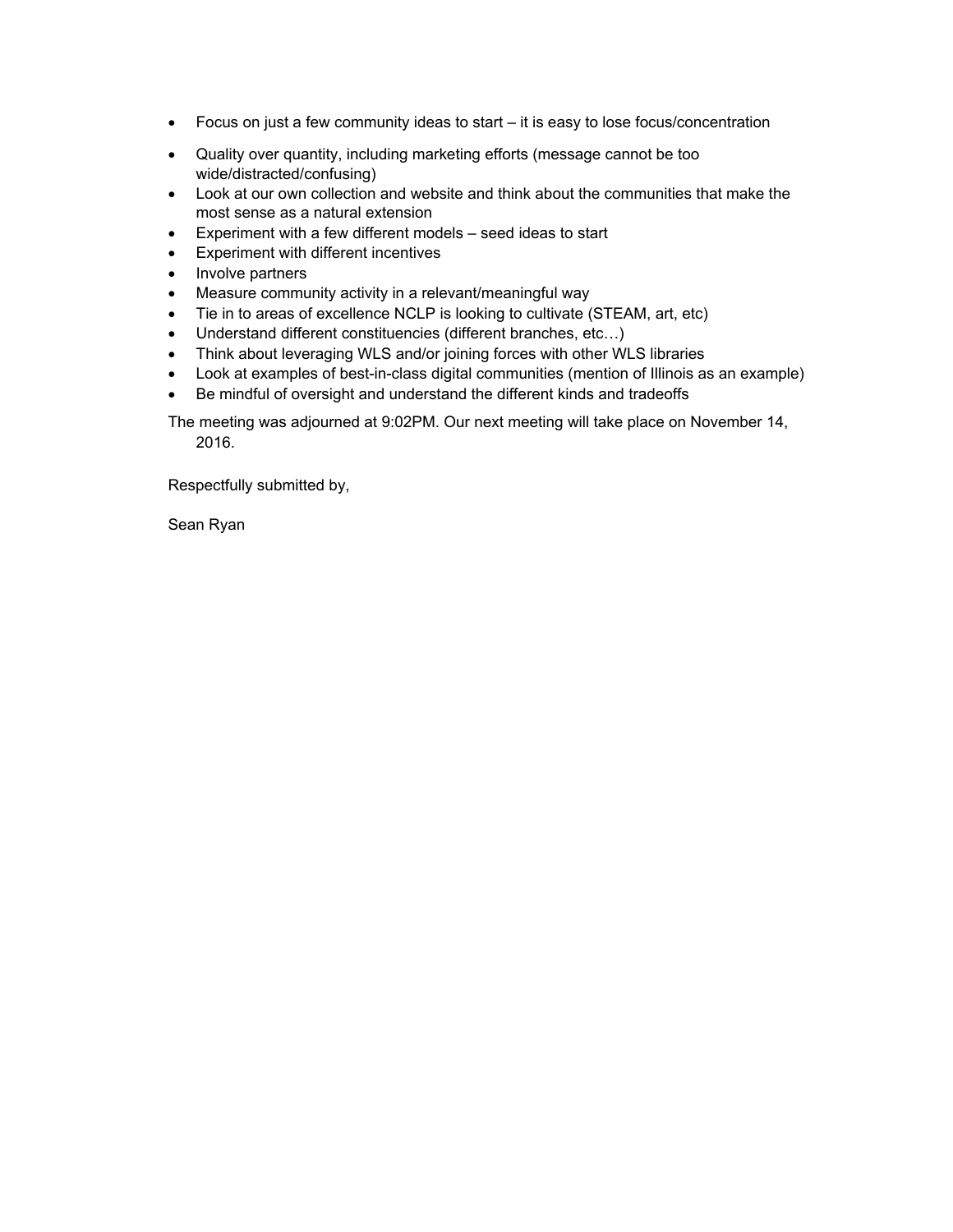- Focus on just a few community ideas to start it is easy to lose focus/concentration
- Quality over quantity, including marketing efforts (message cannot be too wide/distracted/confusing)
- Look at our own collection and website and think about the communities that make the most sense as a natural extension
- Experiment with a few different models seed ideas to start
- Experiment with different incentives
- Involve partners
- Measure community activity in a relevant/meaningful way
- Tie in to areas of excellence NCLP is looking to cultivate (STEAM, art, etc)
- Understand different constituencies (different branches, etc…)
- Think about leveraging WLS and/or joining forces with other WLS libraries
- Look at examples of best-in-class digital communities (mention of Illinois as an example)
- Be mindful of oversight and understand the different kinds and tradeoffs

The meeting was adjourned at 9:02PM. Our next meeting will take place on November 14, 2016.

Respectfully submitted by,

Sean Ryan